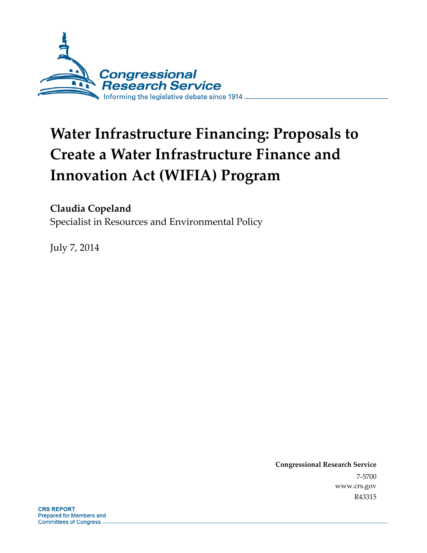

# **Water Infrastructure Financing: Proposals to Create a Water Infrastructure Finance and Innovation Act (WIFIA) Program**

#### **Claudia Copeland**

Specialist in Resources and Environmental Policy

July 7, 2014

**Congressional Research Service**  7-5700 www.crs.gov R43315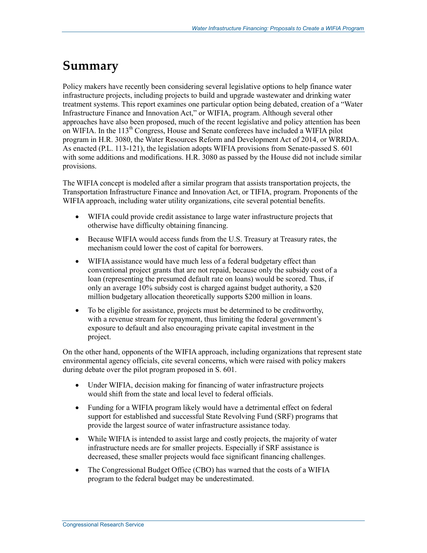## **Summary**

Policy makers have recently been considering several legislative options to help finance water infrastructure projects, including projects to build and upgrade wastewater and drinking water treatment systems. This report examines one particular option being debated, creation of a "Water Infrastructure Finance and Innovation Act," or WIFIA, program. Although several other approaches have also been proposed, much of the recent legislative and policy attention has been on WIFIA. In the  $113<sup>th</sup>$  Congress, House and Senate conferees have included a WIFIA pilot program in H.R. 3080, the Water Resources Reform and Development Act of 2014, or WRRDA. As enacted (P.L. 113-121), the legislation adopts WIFIA provisions from Senate-passed S. 601 with some additions and modifications. H.R. 3080 as passed by the House did not include similar provisions.

The WIFIA concept is modeled after a similar program that assists transportation projects, the Transportation Infrastructure Finance and Innovation Act, or TIFIA, program. Proponents of the WIFIA approach, including water utility organizations, cite several potential benefits.

- WIFIA could provide credit assistance to large water infrastructure projects that otherwise have difficulty obtaining financing.
- Because WIFIA would access funds from the U.S. Treasury at Treasury rates, the mechanism could lower the cost of capital for borrowers.
- WIFIA assistance would have much less of a federal budgetary effect than conventional project grants that are not repaid, because only the subsidy cost of a loan (representing the presumed default rate on loans) would be scored. Thus, if only an average 10% subsidy cost is charged against budget authority, a \$20 million budgetary allocation theoretically supports \$200 million in loans.
- To be eligible for assistance, projects must be determined to be creditworthy, with a revenue stream for repayment, thus limiting the federal government's exposure to default and also encouraging private capital investment in the project.

On the other hand, opponents of the WIFIA approach, including organizations that represent state environmental agency officials, cite several concerns, which were raised with policy makers during debate over the pilot program proposed in S. 601.

- Under WIFIA, decision making for financing of water infrastructure projects would shift from the state and local level to federal officials.
- Funding for a WIFIA program likely would have a detrimental effect on federal support for established and successful State Revolving Fund (SRF) programs that provide the largest source of water infrastructure assistance today.
- While WIFIA is intended to assist large and costly projects, the majority of water infrastructure needs are for smaller projects. Especially if SRF assistance is decreased, these smaller projects would face significant financing challenges.
- The Congressional Budget Office (CBO) has warned that the costs of a WIFIA program to the federal budget may be underestimated.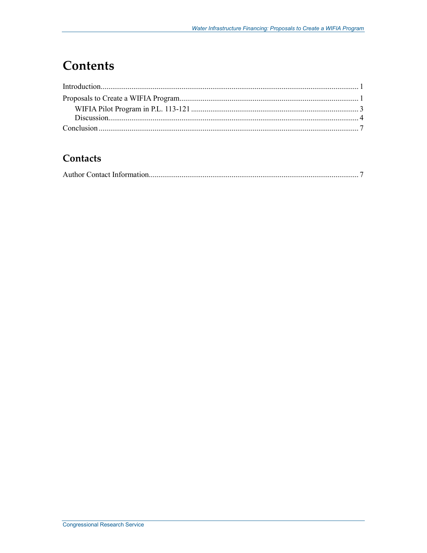## **Contents**

#### Contacts

|--|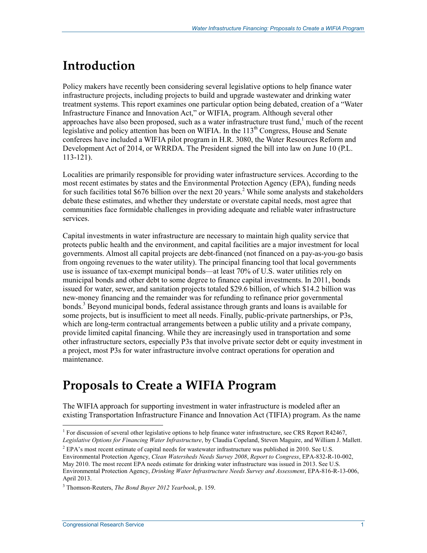# **Introduction**

Policy makers have recently been considering several legislative options to help finance water infrastructure projects, including projects to build and upgrade wastewater and drinking water treatment systems. This report examines one particular option being debated, creation of a "Water Infrastructure Finance and Innovation Act," or WIFIA, program. Although several other approaches have also been proposed, such as a water infrastructure trust fund, $1$  much of the recent legislative and policy attention has been on WIFIA. In the  $113<sup>th</sup>$  Congress, House and Senate conferees have included a WIFIA pilot program in H.R. 3080, the Water Resources Reform and Development Act of 2014, or WRRDA. The President signed the bill into law on June 10 (P.L. 113-121).

Localities are primarily responsible for providing water infrastructure services. According to the most recent estimates by states and the Environmental Protection Agency (EPA), funding needs for such facilities total \$676 billion over the next 20 years.<sup>2</sup> While some analysts and stakeholders debate these estimates, and whether they understate or overstate capital needs, most agree that communities face formidable challenges in providing adequate and reliable water infrastructure services.

Capital investments in water infrastructure are necessary to maintain high quality service that protects public health and the environment, and capital facilities are a major investment for local governments. Almost all capital projects are debt-financed (not financed on a pay-as-you-go basis from ongoing revenues to the water utility). The principal financing tool that local governments use is issuance of tax-exempt municipal bonds—at least 70% of U.S. water utilities rely on municipal bonds and other debt to some degree to finance capital investments. In 2011, bonds issued for water, sewer, and sanitation projects totaled \$29.6 billion, of which \$14.2 billion was new-money financing and the remainder was for refunding to refinance prior governmental bonds.<sup>3</sup> Beyond municipal bonds, federal assistance through grants and loans is available for some projects, but is insufficient to meet all needs. Finally, public-private partnerships, or P3s, which are long-term contractual arrangements between a public utility and a private company, provide limited capital financing. While they are increasingly used in transportation and some other infrastructure sectors, especially P3s that involve private sector debt or equity investment in a project, most P3s for water infrastructure involve contract operations for operation and maintenance.

## **Proposals to Create a WIFIA Program**

The WIFIA approach for supporting investment in water infrastructure is modeled after an existing Transportation Infrastructure Finance and Innovation Act (TIFIA) program. As the name

<sup>&</sup>lt;sup>1</sup> For discussion of several other legislative options to help finance water infrastructure, see CRS Report R42467, *Legislative Options for Financing Water Infrastructure*, by Claudia Copeland, Steven Maguire, and William J. Mallett.

<sup>&</sup>lt;sup>2</sup> EPA's most recent estimate of capital needs for wastewater infrastructure was published in 2010. See U.S. Environmental Protection Agency, *Clean Watersheds Needs Survey 2008*, *Report to Congress*, EPA-832-R-10-002, May 2010. The most recent EPA needs estimate for drinking water infrastructure was issued in 2013. See U.S. Environmental Protection Agency, *Drinking Water Infrastructure Needs Survey and Assessment*, EPA-816-R-13-006, April 2013.

<sup>3</sup> Thomson-Reuters, *The Bond Buyer 2012 Yearbook*, p. 159.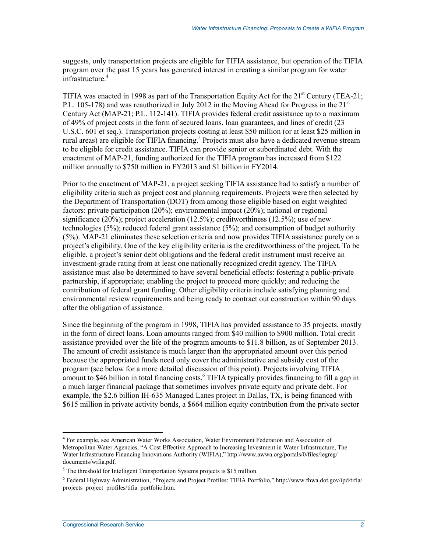suggests, only transportation projects are eligible for TIFIA assistance, but operation of the TIFIA program over the past 15 years has generated interest in creating a similar program for water infrastructure.<sup>4</sup>

TIFIA was enacted in 1998 as part of the Transportation Equity Act for the 21<sup>st</sup> Century (TEA-21; P.L. 105-178) and was reauthorized in July 2012 in the Moving Ahead for Progress in the  $21<sup>st</sup>$ Century Act (MAP-21; P.L. 112-141). TIFIA provides federal credit assistance up to a maximum of 49% of project costs in the form of secured loans, loan guarantees, and lines of credit (23 U.S.C. 601 et seq.). Transportation projects costing at least \$50 million (or at least \$25 million in rural areas) are eligible for TIFIA financing.<sup>5</sup> Projects must also have a dedicated revenue stream to be eligible for credit assistance. TIFIA can provide senior or subordinated debt. With the enactment of MAP-21, funding authorized for the TIFIA program has increased from \$122 million annually to \$750 million in FY2013 and \$1 billion in FY2014.

Prior to the enactment of MAP-21, a project seeking TIFIA assistance had to satisfy a number of eligibility criteria such as project cost and planning requirements. Projects were then selected by the Department of Transportation (DOT) from among those eligible based on eight weighted factors: private participation (20%); environmental impact (20%); national or regional significance (20%); project acceleration (12.5%); creditworthiness (12.5%); use of new technologies (5%); reduced federal grant assistance (5%); and consumption of budget authority (5%). MAP-21 eliminates these selection criteria and now provides TIFIA assistance purely on a project's eligibility. One of the key eligibility criteria is the creditworthiness of the project. To be eligible, a project's senior debt obligations and the federal credit instrument must receive an investment-grade rating from at least one nationally recognized credit agency. The TIFIA assistance must also be determined to have several beneficial effects: fostering a public-private partnership, if appropriate; enabling the project to proceed more quickly; and reducing the contribution of federal grant funding. Other eligibility criteria include satisfying planning and environmental review requirements and being ready to contract out construction within 90 days after the obligation of assistance.

Since the beginning of the program in 1998, TIFIA has provided assistance to 35 projects, mostly in the form of direct loans. Loan amounts ranged from \$40 million to \$900 million. Total credit assistance provided over the life of the program amounts to \$11.8 billion, as of September 2013. The amount of credit assistance is much larger than the appropriated amount over this period because the appropriated funds need only cover the administrative and subsidy cost of the program (see below for a more detailed discussion of this point). Projects involving TIFIA amount to \$46 billion in total financing costs.<sup>6</sup> TIFIA typically provides financing to fill a gap in a much larger financial package that sometimes involves private equity and private debt. For example, the \$2.6 billion IH-635 Managed Lanes project in Dallas, TX, is being financed with \$615 million in private activity bonds, a \$664 million equity contribution from the private sector

<sup>4</sup> For example, see American Water Works Association, Water Environment Federation and Association of Metropolitan Water Agencies, "A Cost Effective Approach to Increasing Investment in Water Infrastructure, The Water Infrastructure Financing Innovations Authority (WIFIA)," http://www.awwa.org/portals/0/files/legreg/ documents/wifia.pdf.

<sup>&</sup>lt;sup>5</sup> The threshold for Intelligent Transportation Systems projects is \$15 million.

<sup>6</sup> Federal Highway Administration, "Projects and Project Profiles: TIFIA Portfolio," http://www.fhwa.dot.gov/ipd/tifia/ projects\_project\_profiles/tifia\_portfolio.htm.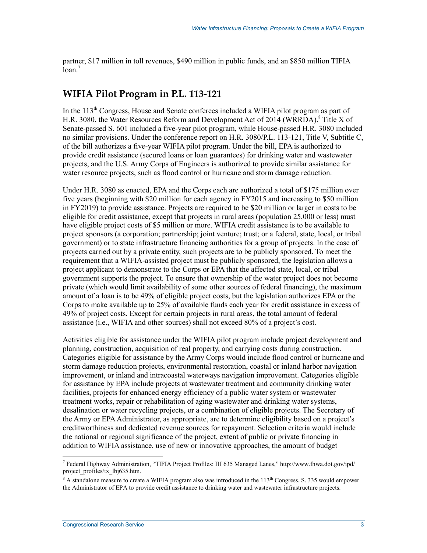partner, \$17 million in toll revenues, \$490 million in public funds, and an \$850 million TIFIA  $\bar{l}$ oan.<sup>7</sup>

#### **WIFIA Pilot Program in P.L. 113-121**

In the 113<sup>th</sup> Congress, House and Senate conferees included a WIFIA pilot program as part of H.R. 3080, the Water Resources Reform and Development Act of 2014 (WRRDA).<sup>8</sup> Title X of Senate-passed S. 601 included a five-year pilot program, while House-passed H.R. 3080 included no similar provisions. Under the conference report on H.R. 3080/P.L. 113-121, Title V, Subtitle C, of the bill authorizes a five-year WIFIA pilot program. Under the bill, EPA is authorized to provide credit assistance (secured loans or loan guarantees) for drinking water and wastewater projects, and the U.S. Army Corps of Engineers is authorized to provide similar assistance for water resource projects, such as flood control or hurricane and storm damage reduction.

Under H.R. 3080 as enacted, EPA and the Corps each are authorized a total of \$175 million over five years (beginning with \$20 million for each agency in FY2015 and increasing to \$50 million in FY2019) to provide assistance. Projects are required to be \$20 million or larger in costs to be eligible for credit assistance, except that projects in rural areas (population 25,000 or less) must have eligible project costs of \$5 million or more. WIFIA credit assistance is to be available to project sponsors (a corporation; partnership; joint venture; trust; or a federal, state, local, or tribal government) or to state infrastructure financing authorities for a group of projects. In the case of projects carried out by a private entity, such projects are to be publicly sponsored. To meet the requirement that a WIFIA-assisted project must be publicly sponsored, the legislation allows a project applicant to demonstrate to the Corps or EPA that the affected state, local, or tribal government supports the project. To ensure that ownership of the water project does not become private (which would limit availability of some other sources of federal financing), the maximum amount of a loan is to be 49% of eligible project costs, but the legislation authorizes EPA or the Corps to make available up to 25% of available funds each year for credit assistance in excess of 49% of project costs. Except for certain projects in rural areas, the total amount of federal assistance (i.e., WIFIA and other sources) shall not exceed 80% of a project's cost.

Activities eligible for assistance under the WIFIA pilot program include project development and planning, construction, acquisition of real property, and carrying costs during construction. Categories eligible for assistance by the Army Corps would include flood control or hurricane and storm damage reduction projects, environmental restoration, coastal or inland harbor navigation improvement, or inland and intracoastal waterways navigation improvement. Categories eligible for assistance by EPA include projects at wastewater treatment and community drinking water facilities, projects for enhanced energy efficiency of a public water system or wastewater treatment works, repair or rehabilitation of aging wastewater and drinking water systems, desalination or water recycling projects, or a combination of eligible projects. The Secretary of the Army or EPA Administrator, as appropriate, are to determine eligibility based on a project's creditworthiness and dedicated revenue sources for repayment. Selection criteria would include the national or regional significance of the project, extent of public or private financing in addition to WIFIA assistance, use of new or innovative approaches, the amount of budget

<sup>7</sup> Federal Highway Administration, "TIFIA Project Profiles: IH 635 Managed Lanes," http://www.fhwa.dot.gov/ipd/ project\_profiles/tx\_lbj635.htm.

 $8$  A standalone measure to create a WIFIA program also was introduced in the 113<sup>th</sup> Congress. S. 335 would empower the Administrator of EPA to provide credit assistance to drinking water and wastewater infrastructure projects.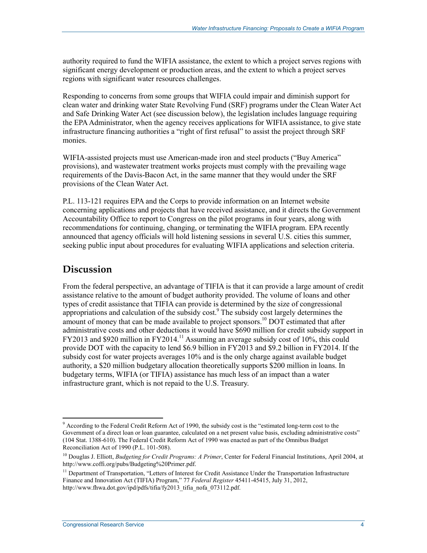authority required to fund the WIFIA assistance, the extent to which a project serves regions with significant energy development or production areas, and the extent to which a project serves regions with significant water resources challenges.

Responding to concerns from some groups that WIFIA could impair and diminish support for clean water and drinking water State Revolving Fund (SRF) programs under the Clean Water Act and Safe Drinking Water Act (see discussion below), the legislation includes language requiring the EPA Administrator, when the agency receives applications for WIFIA assistance, to give state infrastructure financing authorities a "right of first refusal" to assist the project through SRF monies.

WIFIA-assisted projects must use American-made iron and steel products ("Buy America" provisions), and wastewater treatment works projects must comply with the prevailing wage requirements of the Davis-Bacon Act, in the same manner that they would under the SRF provisions of the Clean Water Act.

P.L. 113-121 requires EPA and the Corps to provide information on an Internet website concerning applications and projects that have received assistance, and it directs the Government Accountability Office to report to Congress on the pilot programs in four years, along with recommendations for continuing, changing, or terminating the WIFIA program. EPA recently announced that agency officials will hold listening sessions in several U.S. cities this summer, seeking public input about procedures for evaluating WIFIA applications and selection criteria.

#### **Discussion**

1

From the federal perspective, an advantage of TIFIA is that it can provide a large amount of credit assistance relative to the amount of budget authority provided. The volume of loans and other types of credit assistance that TIFIA can provide is determined by the size of congressional appropriations and calculation of the subsidy cost.<sup>9</sup> The subsidy cost largely determines the amount of money that can be made available to project sponsors.<sup>10</sup> DOT estimated that after administrative costs and other deductions it would have \$690 million for credit subsidy support in FY2013 and \$920 million in FY2014.11 Assuming an average subsidy cost of 10%, this could provide DOT with the capacity to lend \$6.9 billion in FY2013 and \$9.2 billion in FY2014. If the subsidy cost for water projects averages 10% and is the only charge against available budget authority, a \$20 million budgetary allocation theoretically supports \$200 million in loans. In budgetary terms, WIFIA (or TIFIA) assistance has much less of an impact than a water infrastructure grant, which is not repaid to the U.S. Treasury.

<sup>&</sup>lt;sup>9</sup> According to the Federal Credit Reform Act of 1990, the subsidy cost is the "estimated long-term cost to the Government of a direct loan or loan guarantee, calculated on a net present value basis, excluding administrative costs" (104 Stat. 1388-610). The Federal Credit Reform Act of 1990 was enacted as part of the Omnibus Budget Reconciliation Act of 1990 (P.L. 101-508).

<sup>10</sup> Douglas J. Elliott, *Budgeting for Credit Programs: A Primer*, Center for Federal Financial Institutions, April 2004, at http://www.coffi.org/pubs/Budgeting%20Primer.pdf.

<sup>&</sup>lt;sup>11</sup> Department of Transportation, "Letters of Interest for Credit Assistance Under the Transportation Infrastructure Finance and Innovation Act (TIFIA) Program," 77 *Federal Register* 45411-45415, July 31, 2012, http://www.fhwa.dot.gov/ipd/pdfs/tifia/fy2013\_tifia\_nofa\_073112.pdf.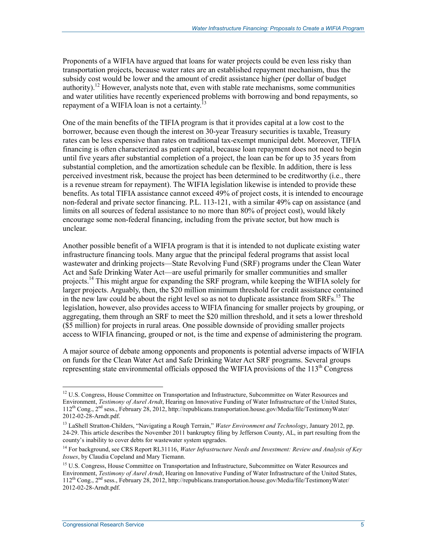Proponents of a WIFIA have argued that loans for water projects could be even less risky than transportation projects, because water rates are an established repayment mechanism, thus the subsidy cost would be lower and the amount of credit assistance higher (per dollar of budget authority).<sup>12</sup> However, analysts note that, even with stable rate mechanisms, some communities and water utilities have recently experienced problems with borrowing and bond repayments, so repayment of a WIFIA loan is not a certainty.<sup>13</sup>

One of the main benefits of the TIFIA program is that it provides capital at a low cost to the borrower, because even though the interest on 30-year Treasury securities is taxable, Treasury rates can be less expensive than rates on traditional tax-exempt municipal debt. Moreover, TIFIA financing is often characterized as patient capital, because loan repayment does not need to begin until five years after substantial completion of a project, the loan can be for up to 35 years from substantial completion, and the amortization schedule can be flexible. In addition, there is less perceived investment risk, because the project has been determined to be creditworthy (i.e., there is a revenue stream for repayment). The WIFIA legislation likewise is intended to provide these benefits. As total TIFIA assistance cannot exceed 49% of project costs, it is intended to encourage non-federal and private sector financing. P.L. 113-121, with a similar 49% cap on assistance (and limits on all sources of federal assistance to no more than 80% of project cost), would likely encourage some non-federal financing, including from the private sector, but how much is unclear.

Another possible benefit of a WIFIA program is that it is intended to not duplicate existing water infrastructure financing tools. Many argue that the principal federal programs that assist local wastewater and drinking projects—State Revolving Fund (SRF) programs under the Clean Water Act and Safe Drinking Water Act—are useful primarily for smaller communities and smaller projects.<sup>14</sup> This might argue for expanding the SRF program, while keeping the WIFIA solely for larger projects. Arguably, then, the \$20 million minimum threshold for credit assistance contained in the new law could be about the right level so as not to duplicate assistance from SRFs.<sup>15</sup> The legislation, however, also provides access to WIFIA financing for smaller projects by grouping, or aggregating, them through an SRF to meet the \$20 million threshold, and it sets a lower threshold (\$5 million) for projects in rural areas. One possible downside of providing smaller projects access to WIFIA financing, grouped or not, is the time and expense of administering the program.

A major source of debate among opponents and proponents is potential adverse impacts of WIFIA on funds for the Clean Water Act and Safe Drinking Water Act SRF programs. Several groups representing state environmental officials opposed the WIFIA provisions of the  $113<sup>th</sup>$  Congress

<u>.</u>

 $12$  U.S. Congress, House Committee on Transportation and Infrastructure, Subcommittee on Water Resources and Environment, *Testimony of Aurel Arndt*, Hearing on Innovative Funding of Water Infrastructure of the United States, 112th Cong., 2nd sess., February 28, 2012, http://republicans.transportation.house.gov/Media/file/TestimonyWater/ 2012-02-28-Arndt.pdf.

<sup>13</sup> LaShell Stratton-Childers, "Navigating a Rough Terrain," *Water Environment and Technology*, January 2012, pp. 24-29. This article describes the November 2011 bankruptcy filing by Jefferson County, AL, in part resulting from the county's inability to cover debts for wastewater system upgrades.

<sup>14</sup> For background, see CRS Report RL31116, *Water Infrastructure Needs and Investment: Review and Analysis of Key Issues*, by Claudia Copeland and Mary Tiemann.

<sup>&</sup>lt;sup>15</sup> U.S. Congress, House Committee on Transportation and Infrastructure, Subcommittee on Water Resources and Environment, *Testimony of Aurel Arndt*, Hearing on Innovative Funding of Water Infrastructure of the United States, 112th Cong., 2nd sess., February 28, 2012, http://republicans.transportation.house.gov/Media/file/TestimonyWater/ 2012-02-28-Arndt.pdf.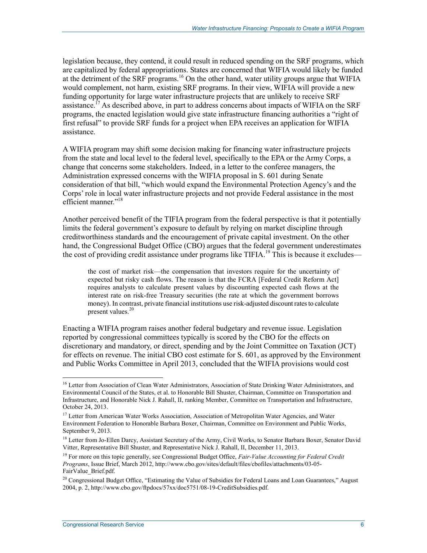legislation because, they contend, it could result in reduced spending on the SRF programs, which are capitalized by federal appropriations. States are concerned that WIFIA would likely be funded at the detriment of the SRF programs.<sup>16</sup> On the other hand, water utility groups argue that WIFIA would complement, not harm, existing SRF programs. In their view, WIFIA will provide a new funding opportunity for large water infrastructure projects that are unlikely to receive SRF assistance.<sup>17</sup> As described above, in part to address concerns about impacts of WIFIA on the SRF programs, the enacted legislation would give state infrastructure financing authorities a "right of first refusal" to provide SRF funds for a project when EPA receives an application for WIFIA assistance.

A WIFIA program may shift some decision making for financing water infrastructure projects from the state and local level to the federal level, specifically to the EPA or the Army Corps, a change that concerns some stakeholders. Indeed, in a letter to the conferee managers, the Administration expressed concerns with the WIFIA proposal in S. 601 during Senate consideration of that bill, "which would expand the Environmental Protection Agency's and the Corps' role in local water infrastructure projects and not provide Federal assistance in the most efficient manner."<sup>18</sup>

Another perceived benefit of the TIFIA program from the federal perspective is that it potentially limits the federal government's exposure to default by relying on market discipline through creditworthiness standards and the encouragement of private capital investment. On the other hand, the Congressional Budget Office (CBO) argues that the federal government underestimates the cost of providing credit assistance under programs like TIFIA.<sup>19</sup> This is because it excludes—

the cost of market risk—the compensation that investors require for the uncertainty of expected but risky cash flows. The reason is that the FCRA [Federal Credit Reform Act] requires analysts to calculate present values by discounting expected cash flows at the interest rate on risk-free Treasury securities (the rate at which the government borrows money). In contrast, private financial institutions use risk-adjusted discount rates to calculate present values.<sup>20</sup>

Enacting a WIFIA program raises another federal budgetary and revenue issue. Legislation reported by congressional committees typically is scored by the CBO for the effects on discretionary and mandatory, or direct, spending and by the Joint Committee on Taxation (JCT) for effects on revenue. The initial CBO cost estimate for S. 601, as approved by the Environment and Public Works Committee in April 2013, concluded that the WIFIA provisions would cost

<u>.</u>

<sup>&</sup>lt;sup>16</sup> Letter from Association of Clean Water Administrators, Association of State Drinking Water Administrators, and Environmental Council of the States, et al. to Honorable Bill Shuster, Chairman, Committee on Transportation and Infrastructure, and Honorable Nick J. Rahall, II, ranking Member, Committee on Transportation and Infrastructure, October 24, 2013.

<sup>&</sup>lt;sup>17</sup> Letter from American Water Works Association, Association of Metropolitan Water Agencies, and Water Environment Federation to Honorable Barbara Boxer, Chairman, Committee on Environment and Public Works, September 9, 2013.

<sup>&</sup>lt;sup>18</sup> Letter from Jo-Ellen Darcy, Assistant Secretary of the Army, Civil Works, to Senator Barbara Boxer, Senator David Vitter, Representative Bill Shuster, and Representative Nick J. Rahall, II, December 11, 2013.

<sup>19</sup> For more on this topic generally, see Congressional Budget Office, *Fair-Value Accounting for Federal Credit Programs*, Issue Brief, March 2012, http://www.cbo.gov/sites/default/files/cbofiles/attachments/03-05- FairValue\_Brief.pdf.

 $20$  Congressional Budget Office, "Estimating the Value of Subsidies for Federal Loans and Loan Guarantees," August 2004, p. 2, http://www.cbo.gov/ftpdocs/57xx/doc5751/08-19-CreditSubsidies.pdf.